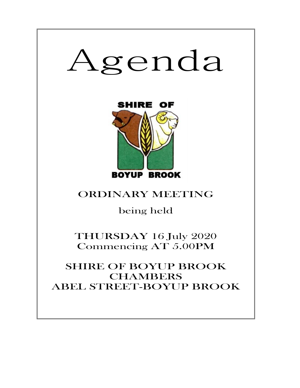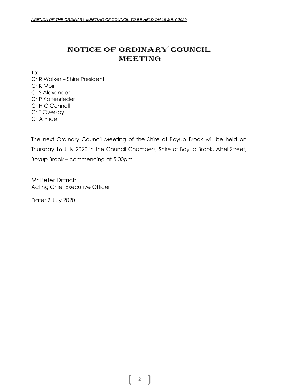# NOTICE OF ORDINARY COUNCIL MEETING

To:- Cr R Walker – Shire President Cr K Moir Cr S Alexander Cr P Kaltenrieder Cr H O'Connell Cr T Oversby Cr A Price

The next Ordinary Council Meeting of the Shire of Boyup Brook will be held on Thursday 16 July 2020 in the Council Chambers, Shire of Boyup Brook, Abel Street, Boyup Brook – commencing at 5.00pm.

Mr Peter Dittrich Acting Chief Executive Officer

Date: 9 July 2020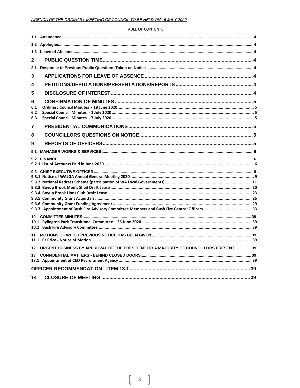### **TABLE OF CONTENTS**

| 1.3                    |                                                                                      |  |
|------------------------|--------------------------------------------------------------------------------------|--|
| $\mathbf{2}$           |                                                                                      |  |
| 2.1                    |                                                                                      |  |
| 3                      |                                                                                      |  |
| 4                      |                                                                                      |  |
| 5                      |                                                                                      |  |
| 6<br>6.1<br>6.2<br>6.3 |                                                                                      |  |
| 7                      |                                                                                      |  |
| 8                      |                                                                                      |  |
| 9                      |                                                                                      |  |
| 9.1                    |                                                                                      |  |
|                        |                                                                                      |  |
|                        |                                                                                      |  |
|                        |                                                                                      |  |
|                        |                                                                                      |  |
|                        |                                                                                      |  |
|                        |                                                                                      |  |
|                        |                                                                                      |  |
|                        |                                                                                      |  |
| 10                     |                                                                                      |  |
|                        |                                                                                      |  |
|                        |                                                                                      |  |
| 11                     |                                                                                      |  |
|                        |                                                                                      |  |
| 12                     | URGENT BUSINESS BY APPROVAL OF THE PRESIDENT OR A MAJORITY OF COUNCILLORS PRESENT 39 |  |
| 13                     |                                                                                      |  |
|                        |                                                                                      |  |
|                        |                                                                                      |  |
| 14                     |                                                                                      |  |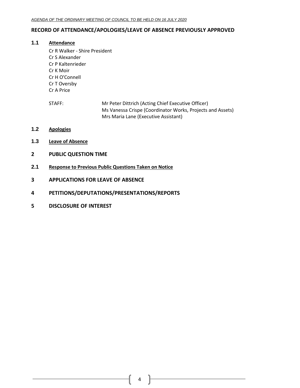# <span id="page-3-0"></span>**RECORD OF ATTENDANCE/APOLOGIES/LEAVE OF ABSENCE PREVIOUSLY APPROVED**

# **1.1 Attendance**

- Cr R Walker Shire President Cr S Alexander Cr P Kaltenrieder Cr K Moir Cr H O'Connell Cr T Oversby Cr A Price
- STAFF: Mr Peter Dittrich (Acting Chief Executive Officer) Ms Vanessa Crispe (Coordinator Works, Projects and Assets) Mrs Maria Lane (Executive Assistant)
- <span id="page-3-1"></span>**1.2 Apologies**
- <span id="page-3-2"></span>**1.3 Leave of Absence**
- <span id="page-3-3"></span>**2 PUBLIC QUESTION TIME**
- <span id="page-3-4"></span>**2.1 Response to Previous Public Questions Taken on Notice**
- <span id="page-3-5"></span>**3 APPLICATIONS FOR LEAVE OF ABSENCE**
- <span id="page-3-6"></span>**4 PETITIONS/DEPUTATIONS/PRESENTATIONS/REPORTS**
- <span id="page-3-7"></span>**5 DISCLOSURE OF INTEREST**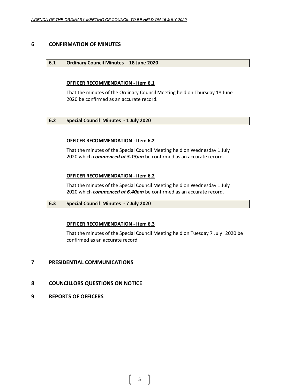# <span id="page-4-1"></span><span id="page-4-0"></span>**6 CONFIRMATION OF MINUTES**

# **6.1 Ordinary Council Minutes - 18 June 2020**

# **OFFICER RECOMMENDATION - Item 6.1**

That the minutes of the Ordinary Council Meeting held on Thursday 18 June 2020 be confirmed as an accurate record.

# <span id="page-4-2"></span>**6.2 Special Council Minutes - 1 July 2020**

# **OFFICER RECOMMENDATION - Item 6.2**

That the minutes of the Special Council Meeting held on Wednesday 1 July 2020 which *commenced at 5.15pm* be confirmed as an accurate record.

# **OFFICER RECOMMENDATION - Item 6.2**

That the minutes of the Special Council Meeting held on Wednesday 1 July 2020 which *commenced at 6.40pm* be confirmed as an accurate record.

# <span id="page-4-3"></span>**6.3 Special Council Minutes - 7 July 2020**

# **OFFICER RECOMMENDATION - Item 6.3**

That the minutes of the Special Council Meeting held on Tuesday 7 July 2020 be confirmed as an accurate record.

# <span id="page-4-4"></span>**7 PRESIDENTIAL COMMUNICATIONS**

- <span id="page-4-5"></span>**8 COUNCILLORS QUESTIONS ON NOTICE**
- <span id="page-4-6"></span>**9 REPORTS OF OFFICERS**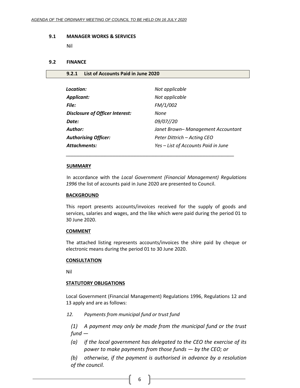#### <span id="page-5-0"></span>**9.1 MANAGER WORKS & SERVICES**

Nil

# <span id="page-5-1"></span>**9.2 FINANCE**

### <span id="page-5-2"></span>**9.2.1 List of Accounts Paid in June 2020**

| Location:                       | Not applicable                      |
|---------------------------------|-------------------------------------|
| <b>Applicant:</b>               | Not applicable                      |
| File:                           | FM/1/002                            |
| Disclosure of Officer Interest: | None                                |
| Date:                           | 09/07//20                           |
| Author:                         | Janet Brown- Management Accountant  |
| <b>Authorising Officer:</b>     | Peter Dittrich – Acting CEO         |
| <b>Attachments:</b>             | Yes - List of Accounts Paid in June |
|                                 |                                     |

# **SUMMARY**

In accordance with the *Local Government (Financial Management) Regulations 1996* the list of accounts paid in June 2020 are presented to Council.

#### **BACKGROUND**

This report presents accounts/invoices received for the supply of goods and services, salaries and wages, and the like which were paid during the period 01 to 30 June 2020.

# **COMMENT**

The attached listing represents accounts/invoices the shire paid by cheque or electronic means during the period 01 to 30 June 2020.

#### **CONSULTATION**

Nil

# **STATUTORY OBLIGATIONS**

Local Government (Financial Management) Regulations 1996, Regulations 12 and 13 apply and are as follows:

*12. Payments from municipal fund or trust fund*

*(1) A payment may only be made from the municipal fund or the trust fund —*

*(a) if the local government has delegated to the CEO the exercise of its power to make payments from those funds — by the CEO; or*

*(b) otherwise, if the payment is authorised in advance by a resolution of the council.*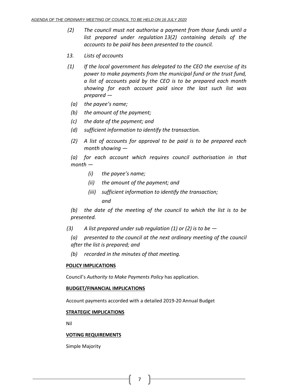- *(2) The council must not authorise a payment from those funds until a list prepared under regulation 13(2) containing details of the accounts to be paid has been presented to the council.*
- *13. Lists of accounts*
- *(1) If the local government has delegated to the CEO the exercise of its power to make payments from the municipal fund or the trust fund, a list of accounts paid by the CEO is to be prepared each month showing for each account paid since the last such list was prepared —*
	- *(a) the payee's name;*
	- *(b) the amount of the payment;*
	- *(c) the date of the payment; and*
	- *(d) sufficient information to identify the transaction.*
	- *(2) A list of accounts for approval to be paid is to be prepared each month showing —*

*(a) for each account which requires council authorisation in that month —*

- *(i) the payee's name;*
- *(ii) the amount of the payment; and*
- *(iii) sufficient information to identify the transaction; and*

*(b) the date of the meeting of the council to which the list is to be presented.*

- *(3) A list prepared under sub regulation (1) or (2) is to be —*
	- *(a) presented to the council at the next ordinary meeting of the council after the list is prepared; and*
	- *(b) recorded in the minutes of that meeting.*

# **POLICY IMPLICATIONS**

Council's *Authority to Make Payments Policy* has application.

# **BUDGET/FINANCIAL IMPLICATIONS**

Account payments accorded with a detailed 2019-20 Annual Budget

# **STRATEGIC IMPLICATIONS**

Nil

# **VOTING REQUIREMENTS**

Simple Majority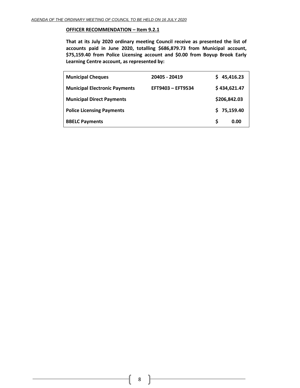## **OFFICER RECOMMENDATION – Item 9.2.1**

**That at its July 2020 ordinary meeting Council receive as presented the list of accounts paid in June 2020, totalling \$686,879.73 from Municipal account, \$75,159.40 from Police Licensing account and \$0.00 from Boyup Brook Early Learning Centre account, as represented by:**

| <b>Municipal Cheques</b>             | 20405 - 20419     |   | 45,416.23    |
|--------------------------------------|-------------------|---|--------------|
| <b>Municipal Electronic Payments</b> | EFT9403 - EFT9534 |   | \$434,621.47 |
| <b>Municipal Direct Payments</b>     |                   |   | \$206,842.03 |
| <b>Police Licensing Payments</b>     |                   |   | \$75,159.40  |
| <b>BBELC Payments</b>                |                   | S | 0.00         |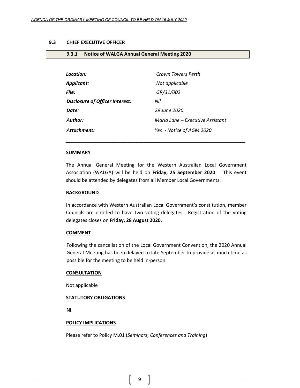#### <span id="page-8-0"></span>**9.3 CHIEF EXECUTIVE OFFICER**

<span id="page-8-1"></span>

|  | 9.3.1 Notice of WALGA Annual General Meeting 2020 |  |  |
|--|---------------------------------------------------|--|--|
|--|---------------------------------------------------|--|--|

| Location:                              | Crown Towers Perth               |
|----------------------------------------|----------------------------------|
| Applicant:                             | Not applicable                   |
| File:                                  | GR/31/002                        |
| <b>Disclosure of Officer Interest:</b> | Nil                              |
| Date:                                  | 29 June 2020                     |
| <b>Author:</b>                         | Maria Lane – Executive Assistant |
| Attachment:                            | Yes - Notice of AGM 2020         |

#### **SUMMARY**

The Annual General Meeting for the Western Australian Local Government Association (WALGA) will be held on **Friday, 25 September 2020**. This event should be attended by delegates from all Member Local Governments.

*\_\_\_\_\_\_\_\_\_\_\_\_\_\_\_\_\_\_\_\_\_\_\_\_\_\_\_\_\_\_\_\_\_\_\_\_\_\_\_\_\_\_\_\_\_\_\_\_\_\_\_\_\_\_\_\_\_\_\_\_\_\_\_\_\_\_\_*

#### **BACKGROUND**

In accordance with Western Australian Local Government's constitution, member Councils are entitled to have two voting delegates. Registration of the voting delegates closes on **Friday, 28 August 2020**.

#### **COMMENT**

Following the cancellation of the Local Government Convention, the 2020 Annual General Meeting has been delayed to late September to provide as much time as possible for the meeting to be held in-person.

#### **CONSULTATION**

Not applicable

## **STATUTORY OBLIGATIONS**

Nil

# **POLICY IMPLICATIONS**

Please refer to Policy M.01 (*Seminars, Conferences and Training*)

9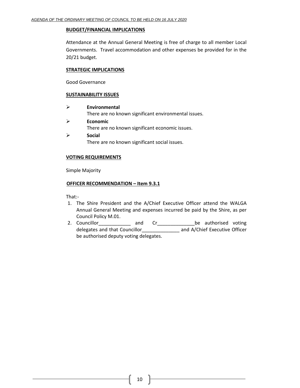## **BUDGET/FINANCIAL IMPLICATIONS**

Attendance at the Annual General Meeting is free of charge to all member Local Governments. Travel accommodation and other expenses be provided for in the 20/21 budget.

# **STRATEGIC IMPLICATIONS**

Good Governance

# **SUSTAINABILITY ISSUES**

- ➢ **Environmental** There are no known significant environmental issues.
- ➢ **Economic** There are no known significant economic issues.
- ➢ **Social** There are no known significant social issues.

# **VOTING REQUIREMENTS**

Simple Majority

# **OFFICER RECOMMENDATION – Item 9.3.1**

That:-

- 1. The Shire President and the A/Chief Executive Officer attend the WALGA Annual General Meeting and expenses incurred be paid by the Shire, as per Council Policy M.01.
- 2. Councillor\_\_\_\_\_\_\_\_\_\_\_\_\_\_ and Cr\_\_\_\_\_\_\_\_\_\_\_\_\_\_\_\_\_\_\_\_\_be authorised voting delegates and that Councillor\_\_\_\_\_\_\_\_\_\_\_\_\_\_ and A/Chief Executive Officer be authorised deputy voting delegates.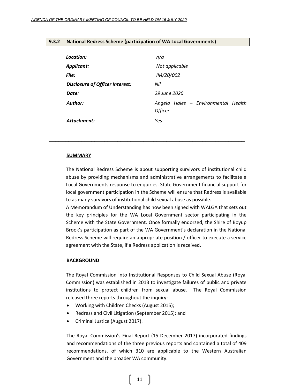# <span id="page-10-0"></span>**9.3.2 National Redress Scheme (participation of WA Local Governments)**

| Location:                              | n/a                                                   |
|----------------------------------------|-------------------------------------------------------|
| <b>Applicant:</b>                      | Not applicable                                        |
| File:                                  | IM/20/002                                             |
| <b>Disclosure of Officer Interest:</b> | Nil                                                   |
| Date:                                  | 29 June 2020                                          |
| Author:                                | Angela Hales - Environmental Health<br><b>Officer</b> |
| Attachment:                            | Yes                                                   |

### **SUMMARY**

The National Redress Scheme is about supporting survivors of institutional child abuse by providing mechanisms and administrative arrangements to facilitate a Local Governments response to enquiries. State Government financial support for local government participation in the Scheme will ensure that Redress is available to as many survivors of institutional child sexual abuse as possible.

\_\_\_\_\_\_\_\_\_\_\_\_\_\_\_\_\_\_\_\_\_\_\_\_\_\_\_\_\_\_\_\_\_\_\_\_\_\_\_\_\_\_\_\_\_\_\_\_\_\_\_\_\_\_\_\_\_\_\_\_

A Memorandum of Understanding has now been signed with WALGA that sets out the key principles for the WA Local Government sector participating in the Scheme with the State Government. Once formally endorsed, the Shire of Boyup Brook's participation as part of the WA Government's declaration in the National Redress Scheme will require an appropriate position / officer to execute a service agreement with the State, if a Redress application is received.

#### **BACKGROUND**

The Royal Commission into Institutional Responses to Child Sexual Abuse (Royal Commission) was established in 2013 to investigate failures of public and private institutions to protect children from sexual abuse. The Royal Commission released three reports throughout the inquiry:

- Working with Children Checks (August 2015);
- Redress and Civil Litigation (September 2015); and
- Criminal Justice (August 2017).

The Royal Commission's Final Report (15 December 2017) incorporated findings and recommendations of the three previous reports and contained a total of 409 recommendations, of which 310 are applicable to the Western Australian Government and the broader WA community.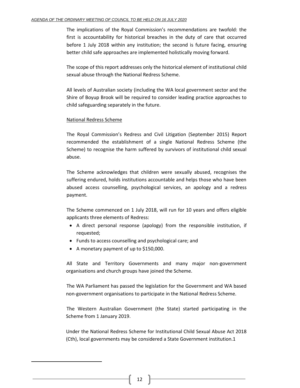The implications of the Royal Commission's recommendations are twofold: the first is accountability for historical breaches in the duty of care that occurred before 1 July 2018 within any institution; the second is future facing, ensuring better child safe approaches are implemented holistically moving forward.

The scope of this report addresses only the historical element of institutional child sexual abuse through the National Redress Scheme.

All levels of Australian society (including the WA local government sector and the Shire of Boyup Brook will be required to consider leading practice approaches to child safeguarding separately in the future.

# National Redress Scheme

The Royal Commission's Redress and Civil Litigation (September 2015) Report recommended the establishment of a single National Redress Scheme (the Scheme) to recognise the harm suffered by survivors of institutional child sexual abuse.

The Scheme acknowledges that children were sexually abused, recognises the suffering endured, holds institutions accountable and helps those who have been abused access counselling, psychological services, an apology and a redress payment.

The Scheme commenced on 1 July 2018, will run for 10 years and offers eligible applicants three elements of Redress:

- A direct personal response (apology) from the responsible institution, if requested;
- Funds to access counselling and psychological care; and
- A monetary payment of up to \$150,000.

All State and Territory Governments and many major non-government organisations and church groups have joined the Scheme.

The WA Parliament has passed the legislation for the Government and WA based non-government organisations to participate in the National Redress Scheme.

The Western Australian Government (the State) started participating in the Scheme from 1 January 2019.

Under the National Redress Scheme for Institutional Child Sexual Abuse Act 2018 (Cth), local governments may be considered a State Government institution.1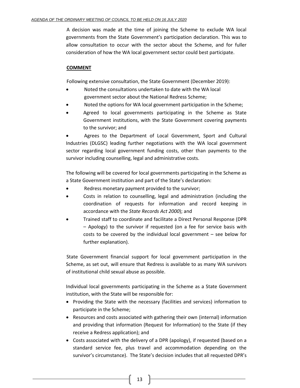A decision was made at the time of joining the Scheme to exclude WA local governments from the State Government's participation declaration. This was to allow consultation to occur with the sector about the Scheme, and for fuller consideration of how the WA local government sector could best participate.

# **COMMENT**

Following extensive consultation, the State Government (December 2019):

- Noted the consultations undertaken to date with the WA local government sector about the National Redress Scheme;
- Noted the options for WA local government participation in the Scheme;
- Agreed to local governments participating in the Scheme as State Government institutions, with the State Government covering payments to the survivor; and

• Agrees to the Department of Local Government, Sport and Cultural Industries (DLGSC) leading further negotiations with the WA local government sector regarding local government funding costs, other than payments to the survivor including counselling, legal and administrative costs.

The following will be covered for local governments participating in the Scheme as a State Government institution and part of the State's declaration:

- Redress monetary payment provided to the survivor;
- Costs in relation to counselling, legal and administration (including the coordination of requests for information and record keeping in accordance with the *State Records Act 2000*); and
- Trained staff to coordinate and facilitate a Direct Personal Response (DPR – Apology) to the survivor if requested (on a fee for service basis with costs to be covered by the individual local government – see below for further explanation).

State Government financial support for local government participation in the Scheme, as set out, will ensure that Redress is available to as many WA survivors of institutional child sexual abuse as possible.

Individual local governments participating in the Scheme as a State Government institution, with the State will be responsible for:

- Providing the State with the necessary (facilities and services) information to participate in the Scheme;
- Resources and costs associated with gathering their own (internal) information and providing that information (Request for Information) to the State (if they receive a Redress application); and
- Costs associated with the delivery of a DPR (apology), if requested (based on a standard service fee, plus travel and accommodation depending on the survivor's circumstance). The State's decision includes that all requested DPR's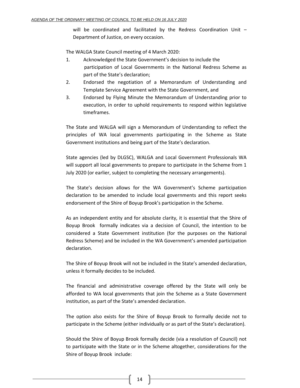will be coordinated and facilitated by the Redress Coordination Unit – Department of Justice, on every occasion.

The WALGA State Council meeting of 4 March 2020:

- 1. Acknowledged the State Government's decision to include the participation of Local Governments in the National Redress Scheme as part of the State's declaration;
- 2. Endorsed the negotiation of a Memorandum of Understanding and Template Service Agreement with the State Government, and
- 3. Endorsed by Flying Minute the Memorandum of Understanding prior to execution, in order to uphold requirements to respond within legislative timeframes.

The State and WALGA will sign a Memorandum of Understanding to reflect the principles of WA local governments participating in the Scheme as State Government institutions and being part of the State's declaration.

State agencies (led by DLGSC), WALGA and Local Government Professionals WA will support all local governments to prepare to participate in the Scheme from 1 July 2020 (or earlier, subject to completing the necessary arrangements).

The State's decision allows for the WA Government's Scheme participation declaration to be amended to include local governments and this report seeks endorsement of the Shire of Boyup Brook's participation in the Scheme.

As an independent entity and for absolute clarity, it is essential that the Shire of Boyup Brook formally indicates via a decision of Council, the intention to be considered a State Government institution (for the purposes on the National Redress Scheme) and be included in the WA Government's amended participation declaration.

The Shire of Boyup Brook will not be included in the State's amended declaration, unless it formally decides to be included.

The financial and administrative coverage offered by the State will only be afforded to WA local governments that join the Scheme as a State Government institution, as part of the State's amended declaration.

The option also exists for the Shire of Boyup Brook to formally decide not to participate in the Scheme (either individually or as part of the State's declaration).

Should the Shire of Boyup Brook formally decide (via a resolution of Council) not to participate with the State or in the Scheme altogether, considerations for the Shire of Boyup Brook include: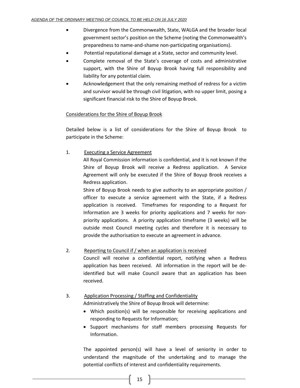- Divergence from the Commonwealth, State, WALGA and the broader local government sector's position on the Scheme (noting the Commonwealth's preparedness to name-and-shame non-participating organisations).
- Potential reputational damage at a State, sector and community level.
- Complete removal of the State's coverage of costs and administrative support, with the Shire of Boyup Brook having full responsibility and liability for any potential claim.
- Acknowledgement that the only remaining method of redress for a victim and survivor would be through civil litigation, with no upper limit, posing a significant financial risk to the Shire of Boyup Brook.

# Considerations for the Shire of Boyup Brook

Detailed below is a list of considerations for the Shire of Boyup Brook to participate in the Scheme:

1. Executing a Service Agreement

All Royal Commission information is confidential, and it is not known if the Shire of Boyup Brook will receive a Redress application. A Service Agreement will only be executed if the Shire of Boyup Brook receives a Redress application.

Shire of Boyup Brook needs to give authority to an appropriate position / officer to execute a service agreement with the State, if a Redress application is received. Timeframes for responding to a Request for Information are 3 weeks for priority applications and 7 weeks for nonpriority applications. A priority application timeframe (3 weeks) will be outside most Council meeting cycles and therefore it is necessary to provide the authorisation to execute an agreement in advance.

# 2. Reporting to Council if / when an application is received

Council will receive a confidential report, notifying when a Redress application has been received. All information in the report will be deidentified but will make Council aware that an application has been received.

# 3. Application Processing / Staffing and Confidentiality

Administratively the Shire of Boyup Brook will determine:

- Which position(s) will be responsible for receiving applications and responding to Requests for Information;
- Support mechanisms for staff members processing Requests for Information.

The appointed person(s) will have a level of seniority in order to understand the magnitude of the undertaking and to manage the potential conflicts of interest and confidentiality requirements.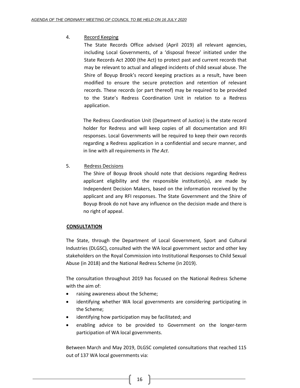# 4. Record Keeping

The State Records Office advised (April 2019) all relevant agencies, including Local Governments, of a 'disposal freeze' initiated under the State Records Act 2000 (the Act) to protect past and current records that may be relevant to actual and alleged incidents of child sexual abuse. The Shire of Boyup Brook's record keeping practices as a result, have been modified to ensure the secure protection and retention of relevant records. These records (or part thereof) may be required to be provided to the State's Redress Coordination Unit in relation to a Redress application.

The Redress Coordination Unit (Department of Justice) is the state record holder for Redress and will keep copies of all documentation and RFI responses. Local Governments will be required to keep their own records regarding a Redress application in a confidential and secure manner, and in line with all requirements in *The Act*.

5. Redress Decisions

The Shire of Boyup Brook should note that decisions regarding Redress applicant eligibility and the responsible institution(s), are made by Independent Decision Makers, based on the information received by the applicant and any RFI responses. The State Government and the Shire of Boyup Brook do not have any influence on the decision made and there is no right of appeal.

# **CONSULTATION**

The State, through the Department of Local Government, Sport and Cultural Industries (DLGSC), consulted with the WA local government sector and other key stakeholders on the Royal Commission into Institutional Responses to Child Sexual Abuse (in 2018) and the National Redress Scheme (in 2019).

The consultation throughout 2019 has focused on the National Redress Scheme with the aim of:

- raising awareness about the Scheme;
- identifying whether WA local governments are considering participating in the Scheme;
- identifying how participation may be facilitated; and
- enabling advice to be provided to Government on the longer-term participation of WA local governments.

Between March and May 2019, DLGSC completed consultations that reached 115 out of 137 WA local governments via: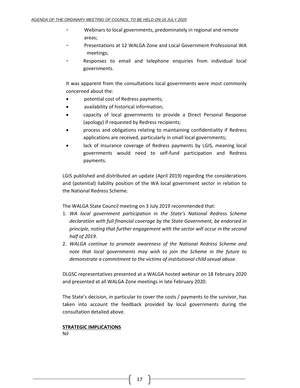- Webinars to local governments, predominately in regional and remote areas;
- Presentations at 12 WALGA Zone and Local Government Professional WA meetings;
- Responses to email and telephone enquiries from individual local governments.

It was apparent from the consultations local governments were most commonly concerned about the:

- potential cost of Redress payments;
- availability of historical information;
- capacity of local governments to provide a Direct Personal Response (apology) if requested by Redress recipients;
- process and obligations relating to maintaining confidentiality if Redress applications are received, particularly in small local governments;
- lack of insurance coverage of Redress payments by LGIS, meaning local governments would need to self-fund participation and Redress payments.

LGIS published and distributed an update (April 2019) regarding the considerations and (potential) liability position of the WA local government sector in relation to the National Redress Scheme.

The WALGA State Council meeting on 3 July 2019 recommended that:

- 1. *WA local government participation in the State's National Redress Scheme declaration with full financial coverage by the State Government, be endorsed in principle, noting that further engagement with the sector will occur in the second half of 2019.*
- 2. *WALGA continue to promote awareness of the National Redress Scheme and note that local governments may wish to join the Scheme in the future to demonstrate a commitment to the victims of institutional child sexual abuse*.

DLGSC representatives presented at a WALGA hosted webinar on 18 February 2020 and presented at all WALGA Zone meetings in late February 2020.

The State's decision, in particular to cover the costs / payments to the survivor, has taken into account the feedback provided by local governments during the consultation detailed above.

# **STRATEGIC IMPLICATIONS**

Nil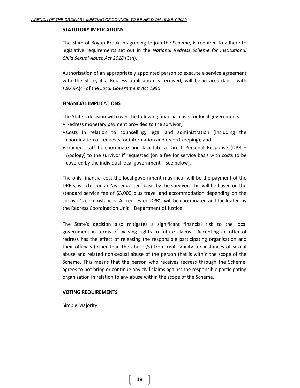# **STATUTORY IMPLICATIONS**

The Shire of Boyup Brook in agreeing to join the Scheme, is required to adhere to legislative requirements set out in the *National Redress Scheme for Institutional Child Sexual Abuse Act 2018* (Cth).

Authorisation of an appropriately appointed person to execute a service agreement with the State, if a Redress application is received, will be in accordance with s.9.49A(4) of the *Local Government Act 1995*.

# **FINANCIAL IMPLICATIONS**

The State's decision will cover the following financial costs for local governments:

- Redress monetary payment provided to the survivor;
- Costs in relation to counselling, legal and administration (including the coordination or requests for information and record keeping); and
- Trained staff to coordinate and facilitate a Direct Personal Response (DPR Apology) to the survivor if requested (on a fee for service basis with costs to be covered by the individual local government – see below).

The only financial cost the local government may incur will be the payment of the DPR's, which is on an 'as requested' basis by the survivor. This will be based on the standard service fee of \$3,000 plus travel and accommodation depending on the survivor's circumstances. All requested DPR's will be coordinated and facilitated by the Redress Coordination Unit – Department of Justice.

The State's decision also mitigates a significant financial risk to the local government in terms of waiving rights to future claims. Accepting an offer of redress has the effect of releasing the responsible participating organisation and their officials (other than the abuser/s) from civil liability for instances of sexual abuse and related non-sexual abuse of the person that is within the scope of the Scheme. This means that the person who receives redress through the Scheme, agrees to not bring or continue any civil claims against the responsible participating organisation in relation to any abuse within the scope of the Scheme.

# **VOTING REQUIREMENTS**

Simple Majority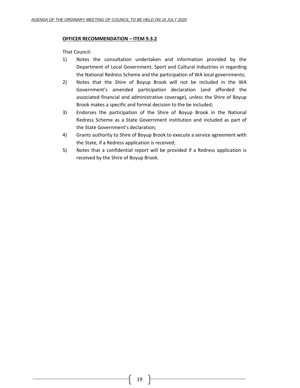# **OFFICER RECOMMENDATION – ITEM 9.3.2**

That Council:

- 1) Notes the consultation undertaken and information provided by the Department of Local Government, Sport and Cultural Industries in regarding the National Redress Scheme and the participation of WA local governments;
- 2) Notes that the Shire of Boyup Brook will not be included in the WA Government's amended participation declaration (and afforded the associated financial and administrative coverage), unless the Shire of Boyup Brook makes a specific and formal decision to the be included;
- 3) Endorses the participation of the Shire of Boyup Brook in the National Redress Scheme as a State Government institution and included as part of the State Government's declaration;
- 4) Grants authority to Shire of Boyup Brook to execute a service agreement with the State, if a Redress application is received;
- 5) Notes that a confidential report will be provided if a Redress application is received by the Shire of Boyup Brook.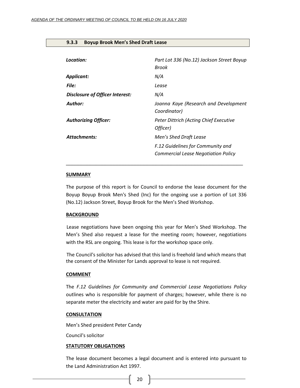#### <span id="page-19-0"></span>**9.3.3 Boyup Brook Men's Shed Draft Lease**

| Location:                              | Part Lot 336 (No.12) Jackson Street Boyup<br>Brook                              |
|----------------------------------------|---------------------------------------------------------------------------------|
| Applicant:                             | N/A                                                                             |
| <b>File:</b>                           | Lease                                                                           |
| <b>Disclosure of Officer Interest:</b> | N/A                                                                             |
| Author:                                | Joanna Kaye (Research and Development<br>Coordinator)                           |
| <b>Authorizing Officer:</b>            | Peter Dittrich (Acting Chief Executive<br>Officer)                              |
| <b>Attachments:</b>                    | Men's Shed Draft Lease                                                          |
|                                        | F.12 Guidelines for Community and<br><b>Commercial Lease Negotiation Policy</b> |

#### **SUMMARY**

The purpose of this report is for Council to endorse the lease document for the Boyup Boyup Brook Men's Shed (Inc) for the ongoing use a portion of Lot 336 (No.12) Jackson Street, Boyup Brook for the Men's Shed Workshop.

\_\_\_\_\_\_\_\_\_\_\_\_\_\_\_\_\_\_\_\_\_\_\_\_\_\_\_\_\_\_\_\_\_\_\_\_\_\_\_\_\_\_\_\_\_\_\_\_\_\_\_\_\_\_\_\_\_\_\_

#### **BACKGROUND**

Lease negotiations have been ongoing this year for Men's Shed Workshop. The Men's Shed also request a lease for the meeting room; however, negotiations with the RSL are ongoing. This lease is for the workshop space only.

The Council's solicitor has advised that this land is freehold land which means that the consent of the Minister for Lands approval to lease is not required.

#### **COMMENT**

The *F.12 Guidelines for Community and Commercial Lease Negotiations Policy* outlines who is responsible for payment of charges; however, while there is no separate meter the electricity and water are paid for by the Shire.

## **CONSULTATION**

Men's Shed president Peter Candy

Council's solicitor

#### **STATUTORY OBLIGATIONS**

The lease document becomes a legal document and is entered into pursuant to the Land Administration Act 1997.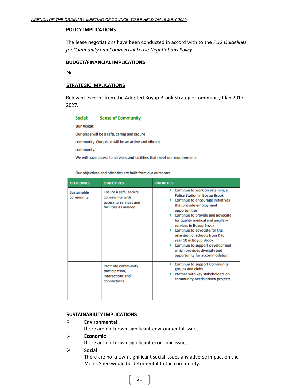### **POLICY IMPLICATIONS**

The lease negotiations have been conducted in accord with to the *F.12 Guidelines for Community and Commercial Lease Negotiations Policy.* 

### **BUDGET/FINANCIAL IMPLICATIONS**

Nil

## **STRATEGIC IMPLICATIONS**

Relevant excerpt from the Adopted Boyup Brook Strategic Community Plan 2017 - 2027.

#### Social: **Sense of Community**

**Our Vision:** 

Our place will be a safe, caring and secure

community. Our place will be an active and vibrant

community.

We will have access to services and facilities that meet our requirements.

Our objectives and priorities are built from our outcomes.

| <b>OUTCOMES</b>          | <b>OBJECTIVES</b>                                                                          | <b>PRIORITIES</b>                                                                                                                                                                                                                                                                                                                                                                                                                                             |
|--------------------------|--------------------------------------------------------------------------------------------|---------------------------------------------------------------------------------------------------------------------------------------------------------------------------------------------------------------------------------------------------------------------------------------------------------------------------------------------------------------------------------------------------------------------------------------------------------------|
| Sustainable<br>community | Ensure a safe, secure<br>community with<br>access to services and<br>facilities as needed. | + Continue to work on retaining a<br>Police Station in Boyup Brook.<br>Continue to encourage initiatives<br>that provide employment<br>opportunities.<br>Continue to provide and advocate<br>for quality medical and ancillary<br>services in Boyup Brook<br>Continue to advocate for the<br>retention of schools from K to<br>year 10 in Boyup Brook.<br>+ Continue to support development<br>which provides diversity and<br>opportunity for accommodation. |
|                          | <b>Promote community</b><br>participation,<br>interactions and<br>connections              | <b>Continue to support Community</b><br>groups and clubs<br>Partner with key stakeholders on<br>community needs driven projects.                                                                                                                                                                                                                                                                                                                              |

## **SUSTAINABILITY IMPLICATIONS**

# ➢ **Environmental**

There are no known significant environmental issues.

➢ **Economic**

There are no known significant economic issues.

➢ **Socia**l

There are no known significant social issues any adverse impact on the Men's Shed would be detrimental to the community.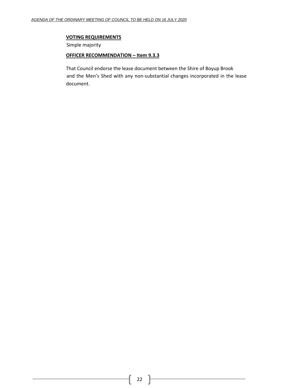# **VOTING REQUIREMENTS**

Simple majority

### **OFFICER RECOMMENDATION – Item 9.3.3**

That Council endorse the lease document between the Shire of Boyup Brook and the Men's Shed with any non-substantial changes incorporated in the lease document.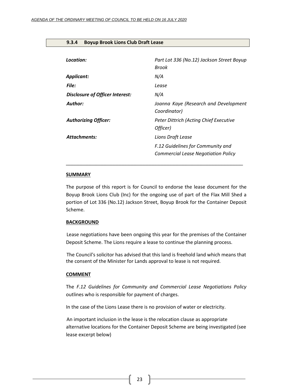#### <span id="page-22-0"></span>**9.3.4 Boyup Brook Lions Club Draft Lease**

| Location:                       | Part Lot 336 (No.12) Jackson Street Boyup<br>Brook                       |
|---------------------------------|--------------------------------------------------------------------------|
| <b>Applicant:</b>               | N/A                                                                      |
| <b>File:</b>                    | Lease                                                                    |
| Disclosure of Officer Interest: | N/A                                                                      |
| Author:                         | Joanna Kaye (Research and Development<br>Coordinator)                    |
| <b>Authorizing Officer:</b>     | <b>Peter Dittrich (Acting Chief Executive</b><br>Officer)                |
| <b>Attachments:</b>             | Lions Draft Lease                                                        |
|                                 | F.12 Guidelines for Community and<br>Commercial Lease Negotiation Policy |

### **SUMMARY**

The purpose of this report is for Council to endorse the lease document for the Boyup Brook Lions Club (Inc) for the ongoing use of part of the Flax Mill Shed a portion of Lot 336 (No.12) Jackson Street, Boyup Brook for the Container Deposit Scheme.

\_\_\_\_\_\_\_\_\_\_\_\_\_\_\_\_\_\_\_\_\_\_\_\_\_\_\_\_\_\_\_\_\_\_\_\_\_\_\_\_\_\_\_\_\_\_\_\_\_\_\_\_\_\_\_\_\_\_\_

#### **BACKGROUND**

Lease negotiations have been ongoing this year for the premises of the Container Deposit Scheme. The Lions require a lease to continue the planning process.

The Council's solicitor has advised that this land is freehold land which means that the consent of the Minister for Lands approval to lease is not required.

#### **COMMENT**

The *F.12 Guidelines for Community and Commercial Lease Negotiations Policy* outlines who is responsible for payment of charges.

In the case of the Lions Lease there is no provision of water or electricity.

An important inclusion in the lease is the relocation clause as appropriate alternative locations for the Container Deposit Scheme are being investigated (see lease excerpt below)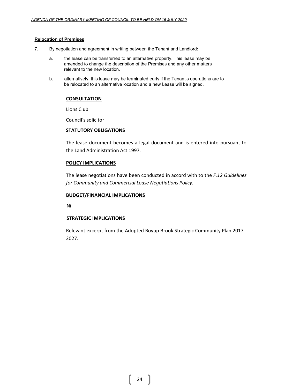# **Relocation of Premises**

- 7. By negotiation and agreement in writing between the Tenant and Landlord:
	- a. the lease can be transferred to an alternative property. This lease may be amended to change the description of the Premises and any other matters relevant to the new location.
	- b. alternatively, this lease may be terminated early if the Tenant's operations are to be relocated to an alternative location and a new Lease will be signed.

# **CONSULTATION**

Lions Club

Council's solicitor

# **STATUTORY OBLIGATIONS**

The lease document becomes a legal document and is entered into pursuant to the Land Administration Act 1997.

# **POLICY IMPLICATIONS**

The lease negotiations have been conducted in accord with to the *F.12 Guidelines for Community and Commercial Lease Negotiations Policy.* 

# **BUDGET/FINANCIAL IMPLICATIONS**

Nil

# **STRATEGIC IMPLICATIONS**

Relevant excerpt from the Adopted Boyup Brook Strategic Community Plan 2017 - 2027.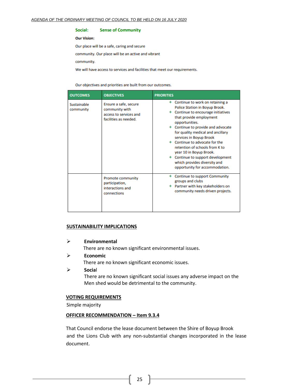#### Social: **Sense of Community**

#### **Our Vision:**

Our place will be a safe, caring and secure

community. Our place will be an active and vibrant

community.

We will have access to services and facilities that meet our requirements.

Our objectives and priorities are built from our outcomes.

| <b>OUTCOMES</b>          | <b>OBJECTIVES</b>                                                                          | <b>PRIORITIES</b>                                                                                                                                                                                                                                                                                                                                                                                                                                               |
|--------------------------|--------------------------------------------------------------------------------------------|-----------------------------------------------------------------------------------------------------------------------------------------------------------------------------------------------------------------------------------------------------------------------------------------------------------------------------------------------------------------------------------------------------------------------------------------------------------------|
| Sustainable<br>community | Ensure a safe, secure<br>community with<br>access to services and<br>facilities as needed. | + Continue to work on retaining a<br>Police Station in Boyup Brook.<br>Continue to encourage initiatives<br>that provide employment<br>opportunities.<br>Continue to provide and advocate<br>for quality medical and ancillary<br>services in Boyup Brook<br>+ Continue to advocate for the<br>retention of schools from K to<br>year 10 in Boyup Brook.<br>+ Continue to support development<br>which provides diversity and<br>opportunity for accommodation. |
|                          | <b>Promote community</b><br>participation,<br>interactions and<br>connections              | <b>Continue to support Community</b><br>groups and clubs<br>Partner with key stakeholders on<br>community needs driven projects.                                                                                                                                                                                                                                                                                                                                |

# **SUSTAINABILITY IMPLICATIONS**

➢ **Environmental**

There are no known significant environmental issues.

➢ **Economic**

There are no known significant economic issues.

➢ **Socia**l There are no known significant social issues any adverse impact on the Men shed would be detrimental to the community.

#### **VOTING REQUIREMENTS**

Simple majority

## **OFFICER RECOMMENDATION – Item 9.3.4**

That Council endorse the lease document between the Shire of Boyup Brook and the Lions Club with any non-substantial changes incorporated in the lease document.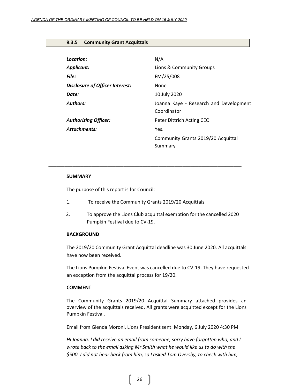### <span id="page-25-0"></span>**9.3.5 Community Grant Acquittals**

| Location:                              | N/A                                                   |
|----------------------------------------|-------------------------------------------------------|
| <b>Applicant:</b>                      | Lions & Community Groups                              |
| File:                                  | FM/25/008                                             |
| <b>Disclosure of Officer Interest:</b> | None                                                  |
| Date:                                  | 10 July 2020                                          |
| <b>Authors:</b>                        | Joanna Kaye - Research and Development<br>Coordinator |
| <b>Authorizing Officer:</b>            | Peter Dittrich Acting CEO                             |
| <b>Attachments:</b>                    | Yes.                                                  |
|                                        | Community Grants 2019/20 Acquittal<br>Summary         |

### **SUMMARY**

The purpose of this report is for Council:

1. To receive the Community Grants 2019/20 Acquittals

*\_\_\_\_\_\_\_\_\_\_\_\_\_\_\_\_\_\_\_\_\_\_\_\_\_\_\_\_\_\_\_\_\_\_\_\_\_\_\_\_\_\_\_\_\_\_\_\_\_\_\_\_\_\_\_\_\_\_\_\_\_\_\_\_\_\_\_\_\_\_\_\_*

2. To approve the Lions Club acquittal exemption for the cancelled 2020 Pumpkin Festival due to CV-19.

#### **BACKGROUND**

The 2019/20 Community Grant Acquittal deadline was 30 June 2020. All acquittals have now been received.

The Lions Pumpkin Festival Event was cancelled due to CV-19. They have requested an exception from the acquittal process for 19/20.

#### **COMMENT**

The Community Grants 2019/20 Acquittal Summary attached provides an overview of the acquittals received. All grants were acquitted except for the Lions Pumpkin Festival.

Email from Glenda Moroni, Lions President sent: Monday, 6 July 2020 4:30 PM

*Hi Joanna. I did receive an email from someone, sorry have forgotten who, and I wrote back to the email asking Mr Smith what he would like us to do with the \$500. I did not hear back from him, so I asked Tom Oversby, to check with him,*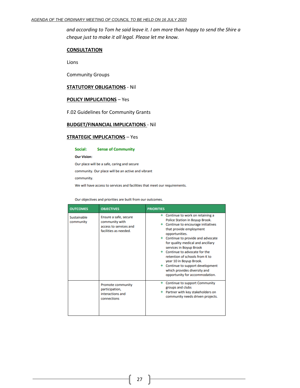*and according to Tom he said leave it. I am more than happy to send the Shire a cheque just to make it all legal. Please let me know.*

#### **CONSULTATION**

Lions

Community Groups

### **STATUTORY OBLIGATIONS** - Nil

#### **POLICY IMPLICATIONS** – Yes

F.02 Guidelines for Community Grants

# **BUDGET/FINANCIAL IMPLICATIONS** - Nil

## **STRATEGIC IMPLICATIONS** – Yes

Social: **Sense of Community** 

**Our Vision:** 

Our place will be a safe, caring and secure

community. Our place will be an active and vibrant

community.

We will have access to services and facilities that meet our requirements.

Our objectives and priorities are built from our outcomes.

| <b>OUTCOMES</b>          | <b>OBJECTIVES</b>                                                                          | <b>PRIORITIES</b>                                                                                                                                                                                                                                                                                                                                                                                                                                         |
|--------------------------|--------------------------------------------------------------------------------------------|-----------------------------------------------------------------------------------------------------------------------------------------------------------------------------------------------------------------------------------------------------------------------------------------------------------------------------------------------------------------------------------------------------------------------------------------------------------|
| Sustainable<br>community | Ensure a safe, secure<br>community with<br>access to services and<br>facilities as needed. | Continue to work on retaining a<br>Police Station in Boyup Brook.<br>Continue to encourage initiatives<br>that provide employment<br>opportunities.<br>Continue to provide and advocate<br>for quality medical and ancillary<br>services in Boyup Brook<br>Continue to advocate for the<br>retention of schools from K to<br>year 10 in Boyup Brook.<br>Continue to support development<br>which provides diversity and<br>opportunity for accommodation. |
|                          | <b>Promote community</b><br>participation,<br>interactions and<br>connections              | Continue to support Community<br>groups and clubs<br>Partner with key stakeholders on<br>community needs driven projects.                                                                                                                                                                                                                                                                                                                                 |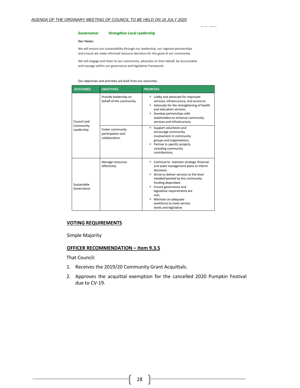#### **Governance: Strengthen Local Leadership**

#### **Our Vision:**

We will ensure our sustainability through our leadership, our regional partnerships and ensure we make informed resource decisions for the good of our community.

. . . . . . .

We will engage and listen to our community, advocate on their behalf, be accountable and manage within our governance and legislative framework.

Our objectives and priorities are built from our outcomes.

| <b>OUTCOMES</b>                        | <b>OBJECTIVES</b>                                              | <b>PRIORITIES</b>                                                                                                                                                                                                                                                                                                                                            |
|----------------------------------------|----------------------------------------------------------------|--------------------------------------------------------------------------------------------------------------------------------------------------------------------------------------------------------------------------------------------------------------------------------------------------------------------------------------------------------------|
| Council and<br>Community<br>Leadership | Provide leadership on<br>behalf of the community.              | + Lobby and advocate for improved<br>services, infrastructure, and access to.<br>Advocate for the strengthening of health<br>and education services.<br>$+$ Develop partnerships with<br>stakeholders to enhance community<br>services and infrastructure.                                                                                                   |
|                                        | <b>Foster community</b><br>participation and<br>collaboration. | Support volunteers and<br>$^+$<br>encourage community<br>involvement in community<br>groups and organisations.<br>+ Partner in specific projects<br>including community<br>contributions.                                                                                                                                                                    |
| Sustainable<br>Governance              | <b>Manage resources</b><br>effectively.                        | + Continue to maintain strategic financial<br>and asset management plans to inform<br>decisions.<br>Strive to deliver services to the level<br>needed/wanted by the community<br>funding dependant.<br><b>Ensure governance and</b><br>legislative requirements are<br>met.<br>+ Maintain an adequate<br>workforce to meet service<br>levels and legislative |

#### **VOTING REQUIREMENTS**

Simple Majority

## **OFFICER RECOMMENDATION – Item 9.3.5**

That Council:

- 1. Receives the 2019/20 Community Grant Acquittals.
- 2. Approves the acquittal exemption for the cancelled 2020 Pumpkin Festival due to CV-19.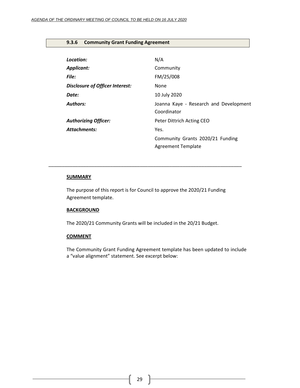# <span id="page-28-0"></span>**9.3.6 Community Grant Funding Agreement**

| Location:                              | N/A                                                           |
|----------------------------------------|---------------------------------------------------------------|
| Applicant:                             | Community                                                     |
| File:                                  | FM/25/008                                                     |
| <b>Disclosure of Officer Interest:</b> | None                                                          |
| Date:                                  | 10 July 2020                                                  |
| <b>Authors:</b>                        | Joanna Kaye - Research and Development<br>Coordinator         |
| <b>Authorizing Officer:</b>            | Peter Dittrich Acting CEO                                     |
| Attachments:                           | Yes.                                                          |
|                                        | Community Grants 2020/21 Funding<br><b>Agreement Template</b> |

#### **SUMMARY**

The purpose of this report is for Council to approve the 2020/21 Funding Agreement template.

*\_\_\_\_\_\_\_\_\_\_\_\_\_\_\_\_\_\_\_\_\_\_\_\_\_\_\_\_\_\_\_\_\_\_\_\_\_\_\_\_\_\_\_\_\_\_\_\_\_\_\_\_\_\_\_\_\_\_\_\_\_\_\_\_\_\_\_\_\_\_\_\_*

# **BACKGROUND**

The 2020/21 Community Grants will be included in the 20/21 Budget.

#### **COMMENT**

The Community Grant Funding Agreement template has been updated to include a "value alignment" statement. See excerpt below: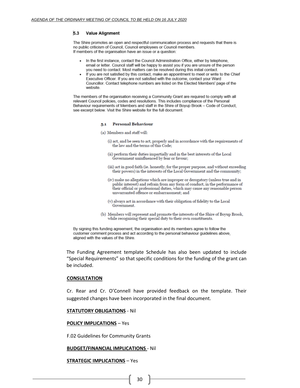#### 5.3 **Value Alignment**

The Shire promotes an open and respectful communication process and requests that there is no public criticism of Council, Council employees or Council members. If members of the organisation have an issue or a question:

- In the first instance, contact the Council Administration Office, either by telephone. email or letter. Council staff will be happy to assist you if you are unsure of the person you need to contact. Most matters can be resolved during this initial contact.
- If you are not satisfied by this contact, make an appointment to meet or write to the Chief Executive Officer. If you are not satisfied with the outcome, contact your Ward Councillor. Contact telephone numbers are listed on the Elected Members' page of the website

The members of the organisation receiving a Community Grant are required to comply with all relevant Council policies, codes and resolutions. This includes compliance of the Personal Behaviour requirements of Members and staff in the Shire of Boyup Brook - Code of Conduct, see excerpt below. Visit the Shire website for the full document.

#### 5.1 Personal Behaviour

- (a) Members and staff will:
	- (i) act, and be seen to act, properly and in accordance with the requirements of the law and the terms of this Code;
	- (ii) perform their duties impartially and in the best interests of the Local Government uninfluenced by fear or favour;
	- (iii) act in good faith (ie. honestly, for the proper purpose, and without exceeding their powers) in the interests of the Local Government and the community;
	- (iv) make no allegations which are improper or derogatory (unless true and in public interest) and refrain from any form of conduct, in the performance of their official or professional duties, which may cause any reasonable person unwarranted offence or embarrassment; and
	- (v) always act in accordance with their obligation of fidelity to the Local Government.
- (b) Members will represent and promote the interests of the Shire of Boyup Brook, while recognising their special duty to their own constituents.

By signing this funding agreement, the organisation and its members agree to follow the customer comment process and act according to the personal behaviour guidelines above, aligned with the values of the Shire.

The Funding Agreement template Schedule has also been updated to include "Special Requirements" so that specific conditions for the funding of the grant can be included.

#### **CONSULTATION**

Cr. Rear and Cr. O'Connell have provided feedback on the template. Their suggested changes have been incorporated in the final document.

#### **STATUTORY OBLIGATIONS** - Nil

#### **POLICY IMPLICATIONS** – Yes

F.02 Guidelines for Community Grants

#### **BUDGET/FINANCIAL IMPLICATIONS** - Nil

#### **STRATEGIC IMPLICATIONS** – Yes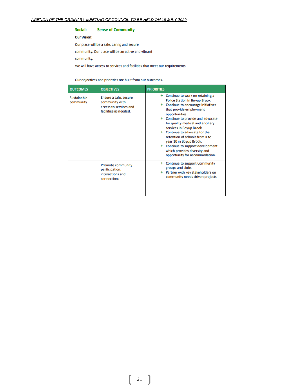#### Social: **Sense of Community**

#### **Our Vision:**

Our place will be a safe, caring and secure

community. Our place will be an active and vibrant

community.

We will have access to services and facilities that meet our requirements.

Our objectives and priorities are built from our outcomes.

| <b>OUTCOMES</b>          | <b>OBJECTIVES</b>                                                                          | <b>PRIORITIES</b>                                                                                                                                                                                                                                                                                                                                                                                                                                               |
|--------------------------|--------------------------------------------------------------------------------------------|-----------------------------------------------------------------------------------------------------------------------------------------------------------------------------------------------------------------------------------------------------------------------------------------------------------------------------------------------------------------------------------------------------------------------------------------------------------------|
| Sustainable<br>community | Ensure a safe, secure<br>community with<br>access to services and<br>facilities as needed. | + Continue to work on retaining a<br>Police Station in Boyup Brook.<br>Continue to encourage initiatives<br>that provide employment<br>opportunities.<br>Continue to provide and advocate<br>for quality medical and ancillary<br>services in Boyup Brook<br>+ Continue to advocate for the<br>retention of schools from K to<br>year 10 in Boyup Brook.<br>+ Continue to support development<br>which provides diversity and<br>opportunity for accommodation. |
|                          | <b>Promote community</b><br>participation,<br>interactions and<br>connections              | Continue to support Community<br>groups and clubs<br>Partner with key stakeholders on<br>community needs driven projects.                                                                                                                                                                                                                                                                                                                                       |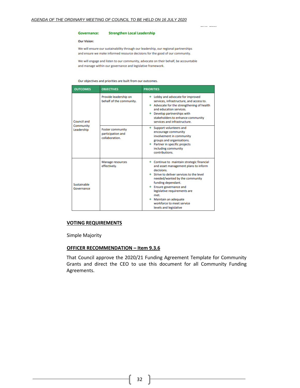#### **Governance: Strengthen Local Leadership**

#### **Our Vision:**

We will ensure our sustainability through our leadership, our regional partnerships and ensure we make informed resource decisions for the good of our community.

. . . . . . . . .

We will engage and listen to our community, advocate on their behalf, be accountable and manage within our governance and legislative framework.

Our objectives and priorities are built from our outcomes.

| <b>OUTCOMES</b>           | <b>OBJECTIVES</b>                                                      | <b>PRIORITIES</b>                                                                                                                                                                                                                                                                                                                                            |
|---------------------------|------------------------------------------------------------------------|--------------------------------------------------------------------------------------------------------------------------------------------------------------------------------------------------------------------------------------------------------------------------------------------------------------------------------------------------------------|
| Council and               | Provide leadership on<br>behalf of the community.                      | + Lobby and advocate for improved<br>services, infrastructure, and access to.<br>Advocate for the strengthening of health<br>and education services.<br>$+$ Develop partnerships with<br>stakeholders to enhance community<br>services and infrastructure.                                                                                                   |
| Community<br>Leadership   | $^+$<br><b>Foster community</b><br>participation and<br>collaboration. | Support volunteers and<br>encourage community<br>involvement in community<br>groups and organisations.<br>+ Partner in specific projects<br>including community<br>contributions.                                                                                                                                                                            |
| Sustainable<br>Governance | <b>Manage resources</b><br>effectively.                                | + Continue to maintain strategic financial<br>and asset management plans to inform<br>decisions.<br>Strive to deliver services to the level<br>needed/wanted by the community<br>funding dependant.<br><b>Ensure governance and</b><br>legislative requirements are<br>met.<br>+ Maintain an adequate<br>workforce to meet service<br>levels and legislative |

#### **VOTING REQUIREMENTS**

Simple Majority

# **OFFICER RECOMMENDATION – Item 9.3.6**

That Council approve the 2020/21 Funding Agreement Template for Community Grants and direct the CEO to use this document for all Community Funding Agreements.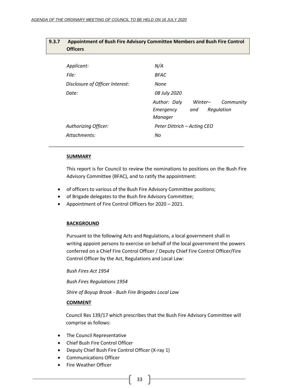<span id="page-32-0"></span>

| 9.3.7 | <b>Officers</b>                 | Appointment of Bush Fire Advisory Committee Members and Bush Fire Control |
|-------|---------------------------------|---------------------------------------------------------------------------|
|       | Applicant:                      | N/A                                                                       |
|       | File:                           | BFAC                                                                      |
|       |                                 |                                                                           |
|       | Disclosure of Officer Interest: | None                                                                      |
|       | Date:                           | 08 July 2020                                                              |
|       |                                 | Author: Daly<br>Community<br>Winter-                                      |
|       |                                 | Regulation<br>Emergency<br>and<br>Manager                                 |
|       | Authorizing Officer:            | Peter Dittrich – Acting CEO                                               |
|       | Attachments:                    | No                                                                        |

\_\_\_\_\_\_\_\_\_\_\_\_\_\_\_\_\_\_\_\_\_\_\_\_\_\_\_\_\_\_\_\_\_\_\_\_\_\_\_\_\_\_\_\_\_\_\_\_\_\_\_\_\_\_\_\_\_\_\_\_\_\_\_\_\_

### **SUMMARY**

This report is for Council to review the nominations to positions on the Bush Fire Advisory Committee (BFAC), and to ratify the appointment:

- of officers to various of the Bush Fire Advisory Committee positions;
- of Brigade delegates to the Bush fire Advisory Committee;
- Appointment of Fire Control Officers for 2020 2021.

# **BACKGROUND**

Pursuant to the following Acts and Regulations, a local government shall in writing appoint persons to exercise on behalf of the local government the powers conferred on a Chief Fire Control Officer / Deputy Chief Fire Control Officer/Fire Control Officer by the Act, Regulations and Local Law:

*Bush Fires Act 1954*

*Bush Fires Regulations 1954*

*Shire of Boyup Brook - Bush Fire Brigades Local Law*

# **COMMENT**

Council Res 139/17 which prescribes that the Bush Fire Advisory Committee will comprise as follows:

- The Council Representative
- Chief Bush Fire Control Officer
- Deputy Chief Bush Fire Control Officer (X-ray 1)
- Communications Officer
- Fire Weather Officer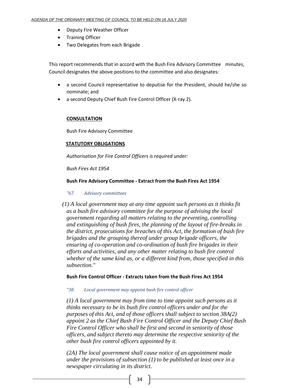- Deputy Fire Weather Officer
- Training Officer
- Two Delegates from each Brigade

This report recommends that in accord with the Bush Fire Advisory Committee minutes, Council designates the above positions to the committee and also designates:

- a second Council representative to deputise for the President, should he/she so nominate; and
- a second Deputy Chief Bush Fire Control Officer (X-ray 2).

# **CONSULTATION**

Bush Fire Advisory Committee

# **STATUTORY OBLIGATIONS**

*Authorisation for Fire Control Officers is required under:* 

*Bush Fires Act 1954*

# **Bush Fire Advisory Committee - Extract from the Bush Fires Act 1954**

# *"67. Advisory committees*

*(1) A local government may at any time appoint such persons as it thinks fit as a bush fire advisory committee for the purpose of advising the local government regarding all matters relating to the preventing, controlling and extinguishing of bush fires, the planning of the layout of fire-breaks in the district, prosecutions for breaches of this Act, the formation of bush fire brigades and the grouping thereof under group brigade officers, the ensuring of co-operation and co-ordination of bush fire brigades in their efforts and activities, and any other matter relating to bush fire control whether of the same kind as, or a different kind from, those specified in this subsection."*

# **Bush Fire Control Officer - Extracts taken from the Bush Fires Act 1954**

*"38. Local government may appoint bush fire control officer*

*(1) A local government may from time to time appoint such persons as it thinks necessary to be its bush fire control officers under and for the purposes of this Act, and of those officers shall subject to section 38A(2) appoint 2 as the Chief Bush Fire Control Officer and the Deputy Chief Bush Fire Control Officer who shall be first and second in seniority of those officers, and subject thereto may determine the respective seniority of the other bush fire control officers appointed by it.*

*(2A) The local government shall cause notice of an appointment made under the provisions of subsection (1) to be published at least once in a newspaper circulating in its district.*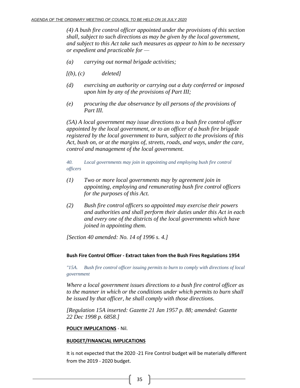*(4) A bush fire control officer appointed under the provisions of this section shall, subject to such directions as may be given by the local government, and subject to this Act take such measures as appear to him to be necessary or expedient and practicable for —*

- *(a) carrying out normal brigade activities;*
- *[(b), (c) deleted]*
- *(d) exercising an authority or carrying out a duty conferred or imposed upon him by any of the provisions of Part III;*
- *(e) procuring the due observance by all persons of the provisions of Part III.*

*(5A) A local government may issue directions to a bush fire control officer appointed by the local government, or to an officer of a bush fire brigade registered by the local government to burn, subject to the provisions of this Act, bush on, or at the margins of, streets, roads, and ways, under the care, control and management of the local government.*

*40. Local governments may join in appointing and employing bush fire control officers*

- *(1) Two or more local governments may by agreement join in appointing, employing and remunerating bush fire control officers for the purposes of this Act.*
- *(2) Bush fire control officers so appointed may exercise their powers and authorities and shall perform their duties under this Act in each and every one of the districts of the local governments which have joined in appointing them.*

*[Section 40 amended: No. 14 of 1996 s. 4.]*

# **Bush Fire Control Officer - Extract taken from the Bush Fires Regulations 1954**

*"15A. Bush fire control officer issuing permits to burn to comply with directions of local government*

*Where a local government issues directions to a bush fire control officer as to the manner in which or the conditions under which permits to burn shall be issued by that officer, he shall comply with those directions.*

*[Regulation 15A inserted: Gazette 21 Jan 1957 p. 88; amended: Gazette 22 Dec 1998 p. 6858.]*

# **POLICY IMPLICATIONS** - Nil.

#### **BUDGET/FINANCIAL IMPLICATIONS**

It is not expected that the 2020 -21 Fire Control budget will be materially different from the 2019 - 2020 budget.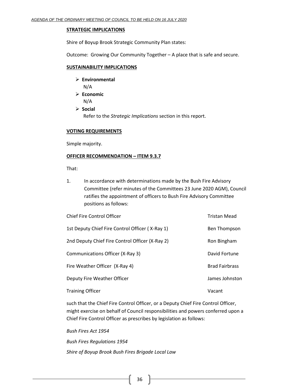### **STRATEGIC IMPLICATIONS**

Shire of Boyup Brook Strategic Community Plan states:

Outcome: Growing Our Community Together – A place that is safe and secure.

# **SUSTAINABILITY IMPLICATIONS**

- ➢ **Environmental**
	- N/A
- ➢ **Economic** N/A
- ➢ **Social** Refer to the *Strategic Implications* section in this report.

# **VOTING REQUIREMENTS**

Simple majority.

# **OFFICER RECOMMENDATION – ITEM 9.3.7**

That:

1. In accordance with determinations made by the Bush Fire Advisory Committee (refer minutes of the Committees 23 June 2020 AGM), Council ratifies the appointment of officers to Bush Fire Advisory Committee positions as follows:

| <b>Chief Fire Control Officer</b>               | <b>Tristan Mead</b>   |
|-------------------------------------------------|-----------------------|
| 1st Deputy Chief Fire Control Officer (X-Ray 1) | Ben Thompson          |
| 2nd Deputy Chief Fire Control Officer (X-Ray 2) | Ron Bingham           |
| Communications Officer (X-Ray 3)                | David Fortune         |
| Fire Weather Officer (X-Ray 4)                  | <b>Brad Fairbrass</b> |
| Deputy Fire Weather Officer                     | James Johnston        |
| <b>Training Officer</b>                         | Vacant                |

such that the Chief Fire Control Officer, or a Deputy Chief Fire Control Officer, might exercise on behalf of Council responsibilities and powers conferred upon a Chief Fire Control Officer as prescribes by legislation as follows:

*Bush Fires Act 1954 Bush Fires Regulations 1954 Shire of Boyup Brook Bush Fires Brigade Local Law*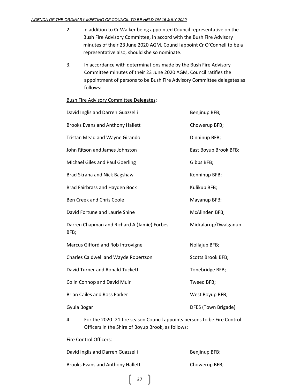- 2. In addition to Cr Walker being appointed Council representative on the Bush Fire Advisory Committee, in accord with the Bush Fire Advisory minutes of their 23 June 2020 AGM, Council appoint Cr O'Connell to be a representative also, should she so nominate.
- 3. In accordance with determinations made by the Bush Fire Advisory Committee minutes of their 23 June 2020 AGM, Council ratifies the appointment of persons to be Bush Fire Advisory Committee delegates as follows:

# Bush Fire Advisory Committee Delegates:

| Benjinup BFB;         |
|-----------------------|
| Chowerup BFB;         |
| Dinninup BFB;         |
| East Boyup Brook BFB; |
| Gibbs BFB;            |
| Kenninup BFB;         |
| Kulikup BFB;          |
| Mayanup BFB;          |
| McAlinden BFB;        |
| Mickalarup/Dwalganup  |
| Nollajup BFB;         |
| Scotts Brook BFB;     |
| Tonebridge BFB;       |
| Tweed BFB;            |
| West Boyup BFB;       |
| DFES (Town Brigade)   |
|                       |

4. For the 2020 -21 fire season Council appoints persons to be Fire Control Officers in the Shire of Boyup Brook, as follows:

# Fire Control Officers:

| David Inglis and Darren Guazzelli       | Benjinup BFB; |
|-----------------------------------------|---------------|
| <b>Brooks Evans and Anthony Hallett</b> | Chowerup BFB; |

37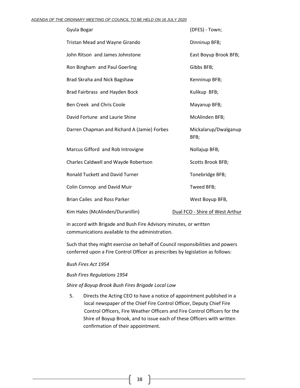| Gyula Bogar                                 | (DFES) - Town;                  |
|---------------------------------------------|---------------------------------|
| Tristan Mead and Wayne Girando              | Dinninup BFB;                   |
| John Ritson and James Johnstone             | East Boyup Brook BFB;           |
| Ron Bingham and Paul Goerling               | Gibbs BFB;                      |
| Brad Skraha and Nick Bagshaw                | Kenninup BFB;                   |
| Brad Fairbrass and Hayden Bock              | Kulikup BFB;                    |
| Ben Creek and Chris Coole                   | Mayanup BFB;                    |
| David Fortune and Laurie Shine              | McAlinden BFB;                  |
| Darren Chapman and Richard A (Jamie) Forbes | Mickalarup/Dwalganup<br>BFB;    |
| Marcus Gifford and Rob Introvigne           | Nollajup BFB;                   |
| Charles Caldwell and Wayde Robertson        | Scotts Brook BFB;               |
| <b>Ronald Tuckett and David Turner</b>      | Tonebridge BFB;                 |
| Colin Connop and David Muir                 | Tweed BFB;                      |
| <b>Brian Cailes and Ross Parker</b>         | West Boyup BFB,                 |
| Kim Hales (McAlinden/Duranillin)            | Dual FCO - Shire of West Arthur |

in accord with Brigade and Bush Fire Advisory minutes, or written communications available to the administration.

Such that they might exercise on behalf of Council responsibilities and powers conferred upon a Fire Control Officer as prescribes by legislation as follows:

# *Bush Fires Act 1954*

# *Bush Fires Regulations 1954*

# *Shire of Boyup Brook Bush Fires Brigade Local Law*

5. Directs the Acting CEO to have a notice of appointment published in a local newspaper of the Chief Fire Control Officer, Deputy Chief Fire Control Officers, Fire Weather Officers and Fire Control Officers for the Shire of Boyup Brook, and to issue each of these Officers with written confirmation of their appointment.